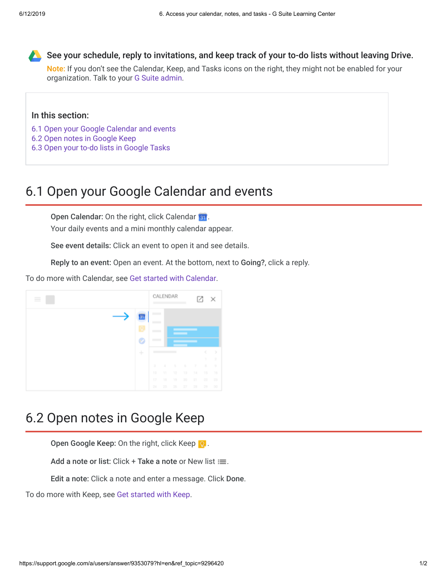

See your schedule, reply to invitations, and keep track of your to-do lists without leaving Drive.

Note: If you don't see the Calendar, Keep, and Tasks icons on the right, they might not be enabled for your organization. Talk to your [G Suite admin.](https://support.google.com/a/answer/6208960)

## In this section:

- [6.1 Open your Google Calendar and events](https://support.google.com/a/users/answer/9353079?hl=en&ref_topic=9296420#5.1)
- [6.2 Open notes in Google Keep](https://support.google.com/a/users/answer/9353079?hl=en&ref_topic=9296420#5.2)
- [6.3 Open your to-do lists in Google Tasks](https://support.google.com/a/users/answer/9353079?hl=en&ref_topic=9296420#5.3)

## 6.1 Open your Google Calendar and events

Open Calendar: On the right, click Calendar ...

Your daily events and a mini monthly calendar appear.

See event details: Click an event to open it and see details.

Reply to an event: Open an event. At the bottom, next to Going?, click a reply.

To do more with Calendar, see [Get started with Calendar](https://support.google.com/a/users/answer/9302892).



## 6.2 Open notes in Google Keep

Open Google Keep: On the right, click Keep  $\Omega$ .

Add a note or list: Click + Take a note or New list  $\equiv$ .

Edit a note: Click a note and enter a message. Click Done.

To do more with Keep, see [Get started with Keep.](https://support.google.com/a/users/answer/9310171)